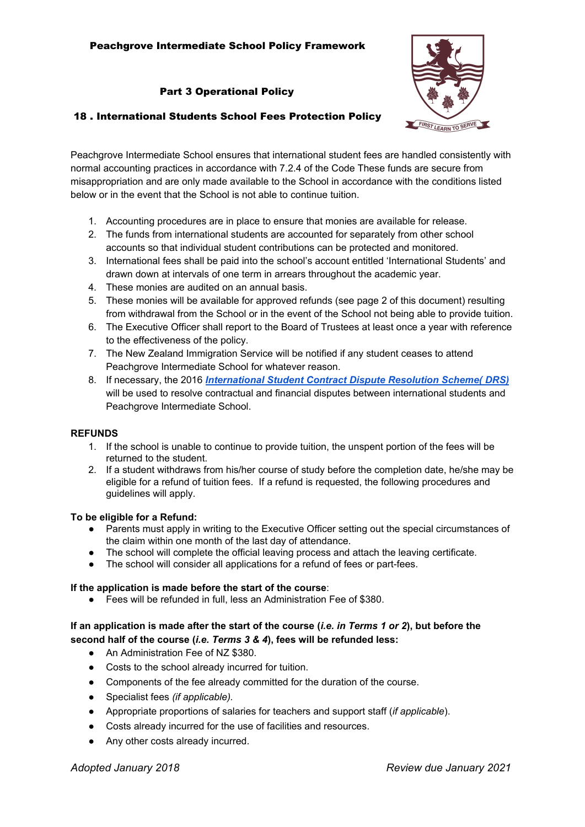# Peachgrove Intermediate School Policy Framework

## Part 3 Operational Policy



## 18 . International Students School Fees Protection Policy

Peachgrove Intermediate School ensures that international student fees are handled consistently with normal accounting practices in accordance with 7.2.4 of the Code These funds are secure from misappropriation and are only made available to the School in accordance with the conditions listed below or in the event that the School is not able to continue tuition.

- 1. Accounting procedures are in place to ensure that monies are available for release.
- 2. The funds from international students are accounted for separately from other school accounts so that individual student contributions can be protected and monitored.
- 3. International fees shall be paid into the school's account entitled 'International Students' and drawn down at intervals of one term in arrears throughout the academic year.
- 4. These monies are audited on an annual basis.
- 5. These monies will be available for approved refunds (see page 2 of this document) resulting from withdrawal from the School or in the event of the School not being able to provide tuition.
- 6. The Executive Officer shall report to the Board of Trustees at least once a year with reference to the effectiveness of the policy.
- 7. The New Zealand Immigration Service will be notified if any student ceases to attend Peachgrove Intermediate School for whatever reason.
- 8. If necessary, the 2016 *[International](http://www.legislation.govt.nz/regulation/public/2016/0042/latest/DLM6748715.html?src=qs) Student Contract Dispute Resolution Scheme( DRS)* will be used to resolve contractual and financial disputes between international students and Peachgrove Intermediate School.

## **REFUNDS**

- 1. If the school is unable to continue to provide tuition, the unspent portion of the fees will be returned to the student.
- 2. If a student withdraws from his/her course of study before the completion date, he/she may be eligible for a refund of tuition fees. If a refund is requested, the following procedures and guidelines will apply.

## **To be eligible for a Refund:**

- Parents must apply in writing to the Executive Officer setting out the special circumstances of the claim within one month of the last day of attendance.
- The school will complete the official leaving process and attach the leaving certificate.
- The school will consider all applications for a refund of fees or part-fees.

## **If the application is made before the start of the course**:

● Fees will be refunded in full, less an Administration Fee of \$380.

# If an application is made after the start of the course (i.e. in Terms 1 or 2), but before the **second half of the course (***i.e. Terms 3 & 4***), fees will be refunded less:**

- An Administration Fee of NZ \$380.
- Costs to the school already incurred for tuition.
- Components of the fee already committed for the duration of the course.
- Specialist fees *(if applicable).*
- Appropriate proportions of salaries for teachers and support staff (*if applicable*).
- Costs already incurred for the use of facilities and resources.
- Any other costs already incurred.